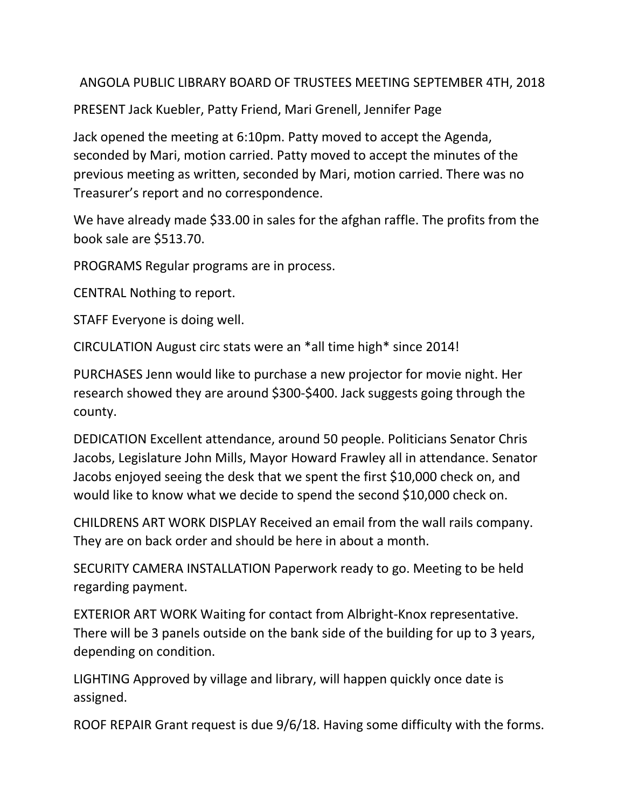## ANGOLA PUBLIC LIBRARY BOARD OF TRUSTEES MEETING SEPTEMBER 4TH, 2018

PRESENT Jack Kuebler, Patty Friend, Mari Grenell, Jennifer Page

Jack opened the meeting at 6:10pm. Patty moved to accept the Agenda, seconded by Mari, motion carried. Patty moved to accept the minutes of the previous meeting as written, seconded by Mari, motion carried. There was no Treasurer's report and no correspondence.

We have already made \$33.00 in sales for the afghan raffle. The profits from the book sale are \$513.70.

PROGRAMS Regular programs are in process.

CENTRAL Nothing to report.

STAFF Everyone is doing well.

CIRCULATION August circ stats were an \*all time high\* since 2014!

PURCHASES Jenn would like to purchase a new projector for movie night. Her research showed they are around \$300-\$400. Jack suggests going through the county.

DEDICATION Excellent attendance, around 50 people. Politicians Senator Chris Jacobs, Legislature John Mills, Mayor Howard Frawley all in attendance. Senator Jacobs enjoyed seeing the desk that we spent the first \$10,000 check on, and would like to know what we decide to spend the second \$10,000 check on.

CHILDRENS ART WORK DISPLAY Received an email from the wall rails company. They are on back order and should be here in about a month.

SECURITY CAMERA INSTALLATION Paperwork ready to go. Meeting to be held regarding payment.

EXTERIOR ART WORK Waiting for contact from Albright-Knox representative. There will be 3 panels outside on the bank side of the building for up to 3 years, depending on condition.

LIGHTING Approved by village and library, will happen quickly once date is assigned.

ROOF REPAIR Grant request is due 9/6/18. Having some difficulty with the forms.